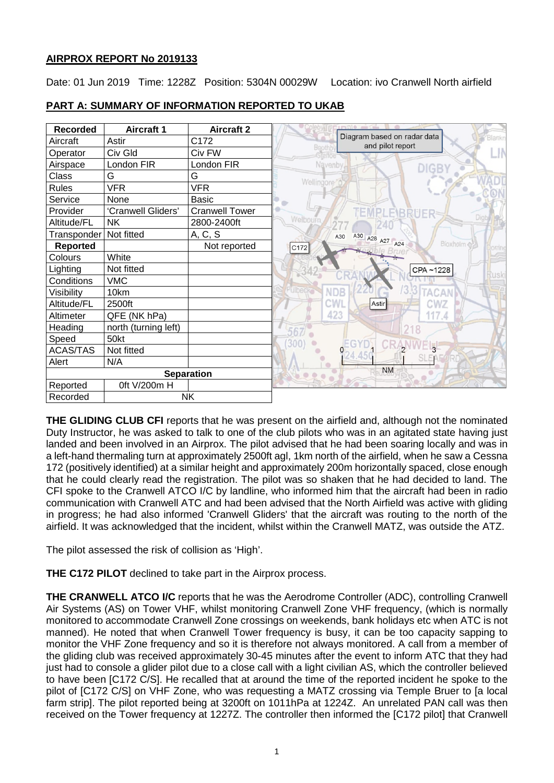# **AIRPROX REPORT No 2019133**

Date: 01 Jun 2019 Time: 1228Z Position: 5304N 00029W Location: ivo Cranwell North airfield

| <b>Recorded</b>   | <b>Aircraft 1</b>    | <b>Aircraft 2</b>     | $m = 0$                                                   |
|-------------------|----------------------|-----------------------|-----------------------------------------------------------|
| Aircraft          | Astir                | C172                  | Diagram based on radar data<br>Blankr<br>and pilot report |
| Operator          | Civ Gld              | Civ FW                | Boothh<br>LIN<br>rattoe                                   |
| Airspace          | London FIR           | London FIR            | Navenby<br>DIGE                                           |
| Class             | G                    | G                     |                                                           |
| <b>Rules</b>      | <b>VFR</b>           | <b>VFR</b>            | Wellingore <sup>'</sup>                                   |
| Service           | None                 | <b>Basic</b>          |                                                           |
| Provider          | 'Cranwell Gliders'   | <b>Cranwell Tower</b> | MEMP<br>EBRUER                                            |
| Altitude/FL       | NΚ                   | 2800-2400ft           | <b>Welbourn</b>                                           |
| Transponder       | Not fitted           | A, C, S               | A30 A28 A27 A24<br>A30                                    |
| <b>Reported</b>   |                      | Not reported          | Bioxholm<br>C172<br><b>torring</b>                        |
| Colours           | White                |                       |                                                           |
| Lighting          | Not fitted           |                       | CPA~1228<br>usk                                           |
| Conditions        | <b>VMC</b>           |                       |                                                           |
| Visibility        | 10km                 |                       | 3.3<br><b>NDB</b><br><b>TACAN</b>                         |
| Altitude/FL       | 2500ft               |                       | <b>CWL</b><br>CWZ<br>Astir                                |
| Altimeter         | QFE (NK hPa)         |                       | 423<br>117.4                                              |
| Heading           | north (turning left) |                       |                                                           |
| Speed             | 50kt                 |                       | 300                                                       |
| <b>ACAS/TAS</b>   | Not fitted           |                       | $3^{\circ}$                                               |
| Alert             | N/A                  |                       | <b>SLEAFORD</b>                                           |
| <b>Separation</b> |                      |                       | <b>NM</b>                                                 |
| Reported          | 0ft V/200m H         |                       |                                                           |
| Recorded          |                      | <b>NK</b>             |                                                           |

# **PART A: SUMMARY OF INFORMATION REPORTED TO UKAB**

**THE GLIDING CLUB CFI** reports that he was present on the airfield and, although not the nominated Duty Instructor, he was asked to talk to one of the club pilots who was in an agitated state having just landed and been involved in an Airprox. The pilot advised that he had been soaring locally and was in a left-hand thermaling turn at approximately 2500ft agl, 1km north of the airfield, when he saw a Cessna 172 (positively identified) at a similar height and approximately 200m horizontally spaced, close enough that he could clearly read the registration. The pilot was so shaken that he had decided to land. The CFI spoke to the Cranwell ATCO I/C by landline, who informed him that the aircraft had been in radio communication with Cranwell ATC and had been advised that the North Airfield was active with gliding in progress; he had also informed 'Cranwell Gliders' that the aircraft was routing to the north of the airfield. It was acknowledged that the incident, whilst within the Cranwell MATZ, was outside the ATZ.

The pilot assessed the risk of collision as 'High'.

**THE C172 PILOT** declined to take part in the Airprox process.

**THE CRANWELL ATCO I/C** reports that he was the Aerodrome Controller (ADC), controlling Cranwell Air Systems (AS) on Tower VHF, whilst monitoring Cranwell Zone VHF frequency, (which is normally monitored to accommodate Cranwell Zone crossings on weekends, bank holidays etc when ATC is not manned). He noted that when Cranwell Tower frequency is busy, it can be too capacity sapping to monitor the VHF Zone frequency and so it is therefore not always monitored. A call from a member of the gliding club was received approximately 30-45 minutes after the event to inform ATC that they had just had to console a glider pilot due to a close call with a light civilian AS, which the controller believed to have been [C172 C/S]. He recalled that at around the time of the reported incident he spoke to the pilot of [C172 C/S] on VHF Zone, who was requesting a MATZ crossing via Temple Bruer to [a local farm strip]. The pilot reported being at 3200ft on 1011hPa at 1224Z. An unrelated PAN call was then received on the Tower frequency at 1227Z. The controller then informed the [C172 pilot] that Cranwell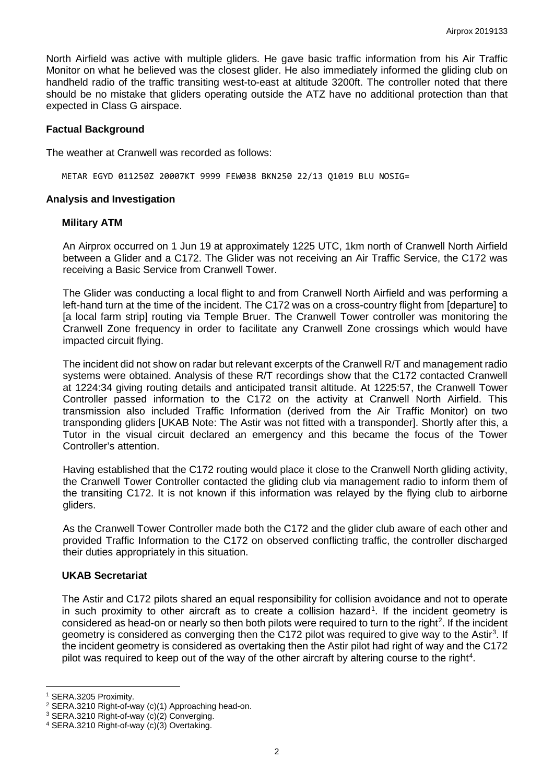North Airfield was active with multiple gliders. He gave basic traffic information from his Air Traffic Monitor on what he believed was the closest glider. He also immediately informed the gliding club on handheld radio of the traffic transiting west-to-east at altitude 3200ft. The controller noted that there should be no mistake that gliders operating outside the ATZ have no additional protection than that expected in Class G airspace.

### **Factual Background**

The weather at Cranwell was recorded as follows:

METAR EGYD 011250Z 20007KT 9999 FEW038 BKN250 22/13 Q1019 BLU NOSIG=

### **Analysis and Investigation**

### **Military ATM**

An Airprox occurred on 1 Jun 19 at approximately 1225 UTC, 1km north of Cranwell North Airfield between a Glider and a C172. The Glider was not receiving an Air Traffic Service, the C172 was receiving a Basic Service from Cranwell Tower.

The Glider was conducting a local flight to and from Cranwell North Airfield and was performing a left-hand turn at the time of the incident. The C172 was on a cross-country flight from [departure] to [a local farm strip] routing via Temple Bruer. The Cranwell Tower controller was monitoring the Cranwell Zone frequency in order to facilitate any Cranwell Zone crossings which would have impacted circuit flying.

The incident did not show on radar but relevant excerpts of the Cranwell R/T and management radio systems were obtained. Analysis of these R/T recordings show that the C172 contacted Cranwell at 1224:34 giving routing details and anticipated transit altitude. At 1225:57, the Cranwell Tower Controller passed information to the C172 on the activity at Cranwell North Airfield. This transmission also included Traffic Information (derived from the Air Traffic Monitor) on two transponding gliders [UKAB Note: The Astir was not fitted with a transponder]. Shortly after this, a Tutor in the visual circuit declared an emergency and this became the focus of the Tower Controller's attention.

Having established that the C172 routing would place it close to the Cranwell North gliding activity, the Cranwell Tower Controller contacted the gliding club via management radio to inform them of the transiting C172. It is not known if this information was relayed by the flying club to airborne gliders.

As the Cranwell Tower Controller made both the C172 and the glider club aware of each other and provided Traffic Information to the C172 on observed conflicting traffic, the controller discharged their duties appropriately in this situation.

### **UKAB Secretariat**

The Astir and C172 pilots shared an equal responsibility for collision avoidance and not to operate in such proximity to other aircraft as to create a collision hazard<sup>[1](#page-1-0)</sup>. If the incident geometry is considered as head-on or nearly so then both pilots were required to turn to the right<sup>[2](#page-1-1)</sup>. If the incident geometry is considered as converging then the C172 pilot was required to give way to the Astir<sup>3</sup>. If the incident geometry is considered as overtaking then the Astir pilot had right of way and the C172 pilot was required to keep out of the way of the other aircraft by altering course to the right<sup>[4](#page-1-3)</sup>.

l

<span id="page-1-0"></span><sup>1</sup> SERA.3205 Proximity.

<span id="page-1-1"></span><sup>2</sup> SERA.3210 Right-of-way (c)(1) Approaching head-on.

<span id="page-1-2"></span><sup>&</sup>lt;sup>3</sup> SERA.3210 Right-of-way (c)(2) Converging.<br><sup>4</sup> SERA.3210 Right-of-way (c)(3) Overtaking.

<span id="page-1-3"></span>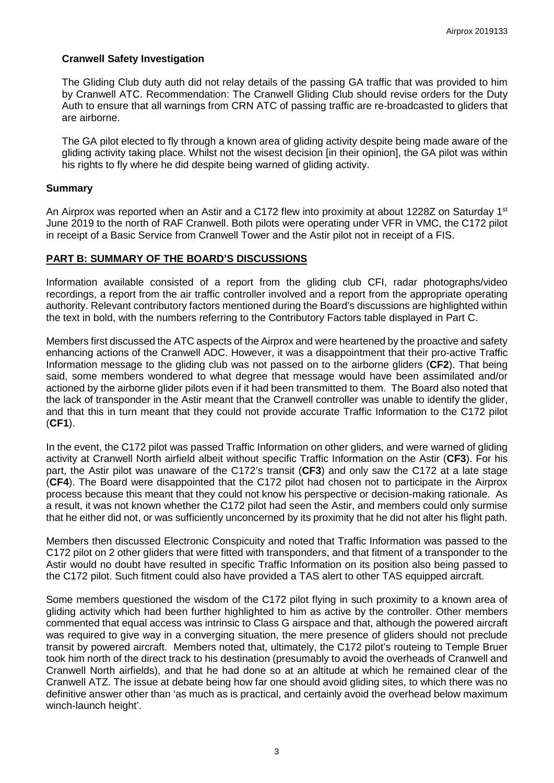## **Cranwell Safety Investigation**

The Gliding Club duty auth did not relay details of the passing GA traffic that was provided to him by Cranwell ATC. Recommendation: The Cranwell Gliding Club should revise orders for the Duty Auth to ensure that all warnings from CRN ATC of passing traffic are re-broadcasted to gliders that are airborne.

The GA pilot elected to fly through a known area of gliding activity despite being made aware of the gliding activity taking place. Whilst not the wisest decision [in their opinion], the GA pilot was within his rights to fly where he did despite being warned of gliding activity.

### **Summary**

An Airprox was reported when an Astir and a C172 flew into proximity at about 1228Z on Saturday 1<sup>st</sup> June 2019 to the north of RAF Cranwell. Both pilots were operating under VFR in VMC, the C172 pilot in receipt of a Basic Service from Cranwell Tower and the Astir pilot not in receipt of a FIS.

## **PART B: SUMMARY OF THE BOARD'S DISCUSSIONS**

Information available consisted of a report from the gliding club CFI, radar photographs/video recordings, a report from the air traffic controller involved and a report from the appropriate operating authority. Relevant contributory factors mentioned during the Board's discussions are highlighted within the text in bold, with the numbers referring to the Contributory Factors table displayed in Part C.

Members first discussed the ATC aspects of the Airprox and were heartened by the proactive and safety enhancing actions of the Cranwell ADC. However, it was a disappointment that their pro-active Traffic Information message to the gliding club was not passed on to the airborne gliders (**CF2**). That being said, some members wondered to what degree that message would have been assimilated and/or actioned by the airborne glider pilots even if it had been transmitted to them. The Board also noted that the lack of transponder in the Astir meant that the Cranwell controller was unable to identify the glider, and that this in turn meant that they could not provide accurate Traffic Information to the C172 pilot (**CF1**).

In the event, the C172 pilot was passed Traffic Information on other gliders, and were warned of gliding activity at Cranwell North airfield albeit without specific Traffic Information on the Astir (**CF3**). For his part, the Astir pilot was unaware of the C172's transit (**CF3**) and only saw the C172 at a late stage (**CF4**). The Board were disappointed that the C172 pilot had chosen not to participate in the Airprox process because this meant that they could not know his perspective or decision-making rationale. As a result, it was not known whether the C172 pilot had seen the Astir, and members could only surmise that he either did not, or was sufficiently unconcerned by its proximity that he did not alter his flight path.

Members then discussed Electronic Conspicuity and noted that Traffic Information was passed to the C172 pilot on 2 other gliders that were fitted with transponders, and that fitment of a transponder to the Astir would no doubt have resulted in specific Traffic Information on its position also being passed to the C172 pilot. Such fitment could also have provided a TAS alert to other TAS equipped aircraft.

Some members questioned the wisdom of the C172 pilot flying in such proximity to a known area of gliding activity which had been further highlighted to him as active by the controller. Other members commented that equal access was intrinsic to Class G airspace and that, although the powered aircraft was required to give way in a converging situation, the mere presence of gliders should not preclude transit by powered aircraft. Members noted that, ultimately, the C172 pilot's routeing to Temple Bruer took him north of the direct track to his destination (presumably to avoid the overheads of Cranwell and Cranwell North airfields), and that he had done so at an altitude at which he remained clear of the Cranwell ATZ. The issue at debate being how far one should avoid gliding sites, to which there was no definitive answer other than 'as much as is practical, and certainly avoid the overhead below maximum winch-launch height'.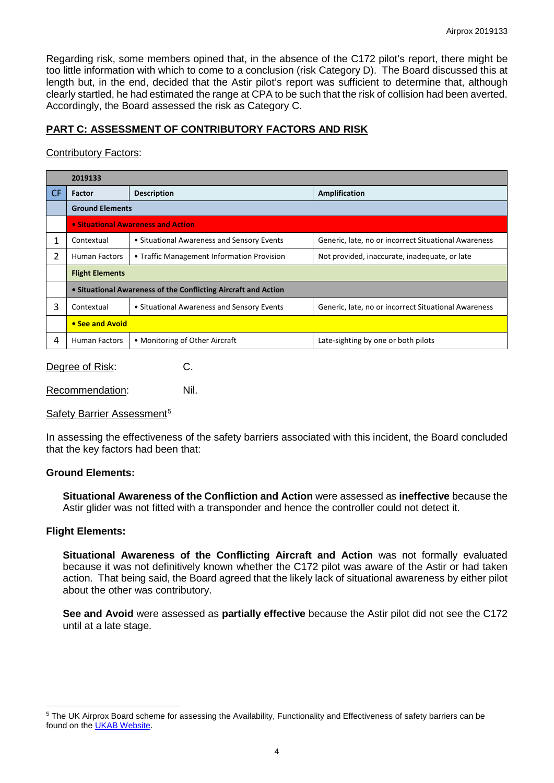Regarding risk, some members opined that, in the absence of the C172 pilot's report, there might be too little information with which to come to a conclusion (risk Category D). The Board discussed this at length but, in the end, decided that the Astir pilot's report was sufficient to determine that, although clearly startled, he had estimated the range at CPA to be such that the risk of collision had been averted. Accordingly, the Board assessed the risk as Category C.

# **PART C: ASSESSMENT OF CONTRIBUTORY FACTORS AND RISK**

### Contributory Factors:

|     | 2019133                                                        |                                            |                                                      |  |  |
|-----|----------------------------------------------------------------|--------------------------------------------|------------------------------------------------------|--|--|
| CF. | <b>Factor</b>                                                  | <b>Description</b>                         | <b>Amplification</b>                                 |  |  |
|     | <b>Ground Elements</b>                                         |                                            |                                                      |  |  |
|     | • Situational Awareness and Action                             |                                            |                                                      |  |  |
| 1   | Contextual                                                     | • Situational Awareness and Sensory Events | Generic, late, no or incorrect Situational Awareness |  |  |
| 2   | <b>Human Factors</b>                                           | • Traffic Management Information Provision | Not provided, inaccurate, inadequate, or late        |  |  |
|     | <b>Flight Elements</b>                                         |                                            |                                                      |  |  |
|     | • Situational Awareness of the Conflicting Aircraft and Action |                                            |                                                      |  |  |
| 3   | Contextual                                                     | • Situational Awareness and Sensory Events | Generic, late, no or incorrect Situational Awareness |  |  |
|     | • See and Avoid                                                |                                            |                                                      |  |  |
| 4   | <b>Human Factors</b>                                           | • Monitoring of Other Aircraft             | Late-sighting by one or both pilots                  |  |  |
|     |                                                                |                                            |                                                      |  |  |

Degree of Risk: C.

Recommendation: Nil.

## Safety Barrier Assessment<sup>[5](#page-3-0)</sup>

In assessing the effectiveness of the safety barriers associated with this incident, the Board concluded that the key factors had been that:

## **Ground Elements:**

**Situational Awareness of the Confliction and Action** were assessed as **ineffective** because the Astir glider was not fitted with a transponder and hence the controller could not detect it.

### **Flight Elements:**

 $\overline{\phantom{a}}$ 

**Situational Awareness of the Conflicting Aircraft and Action** was not formally evaluated because it was not definitively known whether the C172 pilot was aware of the Astir or had taken action. That being said, the Board agreed that the likely lack of situational awareness by either pilot about the other was contributory.

**See and Avoid** were assessed as **partially effective** because the Astir pilot did not see the C172 until at a late stage.

<span id="page-3-0"></span><sup>&</sup>lt;sup>5</sup> The UK Airprox Board scheme for assessing the Availability, Functionality and Effectiveness of safety barriers can be found on the [UKAB Website.](http://www.airproxboard.org.uk/Learn-more/Airprox-Barrier-Assessment/)